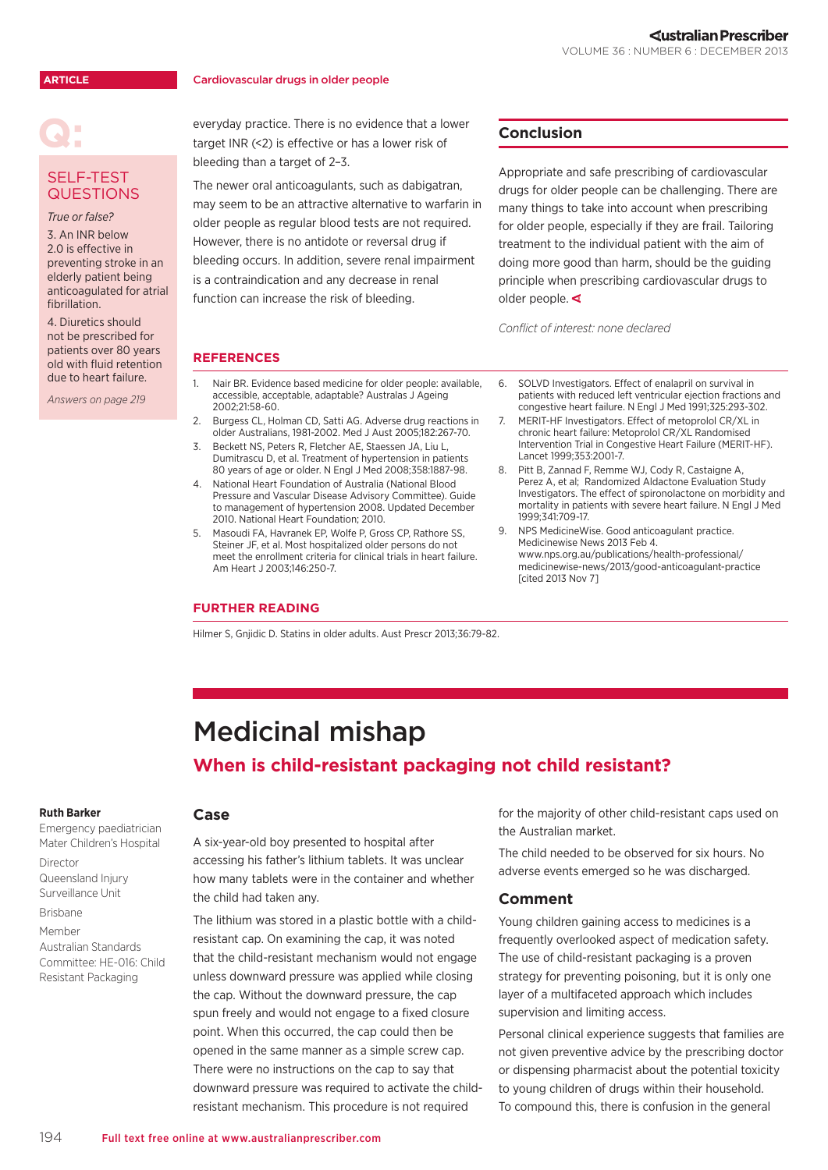### **ARTICLE**

### Cardiovascular drugs in older people

### SELF-TEST **QUESTIONS**

*True or false?* 

3. An INR below 2.0 is effective in preventing stroke in an elderly patient being anticoagulated for atrial fibrillation.

4. Diuretics should not be prescribed for patients over 80 years old with fluid retention due to heart failure.

*Answers on page 219*

everyday practice. There is no evidence that a lower target INR (<2) is effective or has a lower risk of bleeding than a target of 2–3.

The newer oral anticoagulants, such as dabigatran, may seem to be an attractive alternative to warfarin in older people as regular blood tests are not required. However, there is no antidote or reversal drug if bleeding occurs. In addition, severe renal impairment is a contraindication and any decrease in renal function can increase the risk of bleeding.

# **Conclusion**

Appropriate and safe prescribing of cardiovascular drugs for older people can be challenging. There are many things to take into account when prescribing for older people, especially if they are frail. Tailoring treatment to the individual patient with the aim of doing more good than harm, should be the guiding principle when prescribing cardiovascular drugs to older people.

*Conflict of interest: none declared*

# **REFERENCES**

- 1. [Nair BR. Evidence based medicine for older people: available,](http://onlinelibrary.wiley.com/doi/10.1111/j.1741-6612.2002.tb00418.x/abstract)  [accessible, acceptable, adaptable? Australas J Ageing](http://onlinelibrary.wiley.com/doi/10.1111/j.1741-6612.2002.tb00418.x/abstract)  [2002;21:58-60](http://onlinelibrary.wiley.com/doi/10.1111/j.1741-6612.2002.tb00418.x/abstract).
- 2. [Burgess CL, Holman CD, Satti AG. Adverse drug reactions in](http://www.ncbi.nlm.nih.gov/pubmed/15777140)  [older Australians, 1981-2002. Med J Aust 2005;182:267-70.](http://www.ncbi.nlm.nih.gov/pubmed/15777140)
- 3. [Beckett NS, Peters R, Fletcher AE, Staessen JA, Liu L,](http://www.ncbi.nlm.nih.gov/pubmed/18378519)  [Dumitrascu D, et al. Treatment of hypertension in patients](http://www.ncbi.nlm.nih.gov/pubmed/18378519)  [80 years of age or older. N Engl J Med 2008;358:1887-98.](http://www.ncbi.nlm.nih.gov/pubmed/18378519)
- 4. [National Heart Foundation of Australia \(National Blood](http://www.heartfoundation.org.au/sitecollectiondocuments/hypertensionguidelines2008to2010Update.pdf)  [Pressure and Vascular Disease Advisory Committee\). Guide](http://www.heartfoundation.org.au/sitecollectiondocuments/hypertensionguidelines2008to2010Update.pdf)  [to management of hypertension 2008. Updated December](http://www.heartfoundation.org.au/sitecollectiondocuments/hypertensionguidelines2008to2010Update.pdf)  [2010.](http://www.heartfoundation.org.au/sitecollectiondocuments/hypertensionguidelines2008to2010Update.pdf) National Heart Foundation; 2010.
- 5. [Masoudi FA, Havranek EP, Wolfe P, Gross CP, Rathore SS,](http://www.ncbi.nlm.nih.gov/pubmed/12891192)  [Steiner JF, et al. Most hospitalized older persons do not](http://www.ncbi.nlm.nih.gov/pubmed/12891192)  [meet the enrollment criteria for clinical trials in heart failure.](http://www.ncbi.nlm.nih.gov/pubmed/12891192)  [Am Heart J 2003;146:250-7.](http://www.ncbi.nlm.nih.gov/pubmed/12891192)

### **FURTHER READING**

[Hilmer S, Gnjidic D. Statins in older adults. Aust Prescr 2013;36:79-82.](http://www.australianprescriber.com/magazine/36/3/79/82)

- 6. [SOLVD Investigators. Effect of enalapril on survival in](http://www.ncbi.nlm.nih.gov/pubmed/2057034)  [patients with reduced left ventricular ejection fractions and](http://www.ncbi.nlm.nih.gov/pubmed/2057034)  [congestive heart failure. N Engl J Med 1991;325:293-302.](http://www.ncbi.nlm.nih.gov/pubmed/2057034)
- 7. [MERIT-HF Investigators. Effect of metoprolol CR/XL in](http://www.ncbi.nlm.nih.gov/pubmed/10376614)  [chronic heart failure: Metoprolol CR/XL Randomised](http://www.ncbi.nlm.nih.gov/pubmed/10376614)  [Intervention Trial in Congestive Heart Failure \(MERIT-HF\).](http://www.ncbi.nlm.nih.gov/pubmed/10376614)  [Lancet 1999;353:2001-7.](http://www.ncbi.nlm.nih.gov/pubmed/10376614)
- 8. [Pitt B, Zannad F, Remme WJ, Cody R, Castaigne A,](http://www.ncbi.nlm.nih.gov/pubmed/10471456)  [Perez A, et al; Randomized Aldactone Evaluation Study](http://www.ncbi.nlm.nih.gov/pubmed/10471456)  [Investigators. The effect of spironolactone on morbidity and](http://www.ncbi.nlm.nih.gov/pubmed/10471456)  [mortality in patients with severe heart failure. N Engl J Med](http://www.ncbi.nlm.nih.gov/pubmed/10471456)  [1999;341:709-17.](http://www.ncbi.nlm.nih.gov/pubmed/10471456)
- 9. NPS MedicineWise. Good anticoagulant practice. Medicinewise News 2013 Feb 4. [www.nps.org.au/publications/health-professional/](http://www.nps.org.au/publications/health-professional/medicinewise-news/2013/good-anticoagulant-practice) [medicinewise-news/2013/good-anticoagulant-practice](http://www.nps.org.au/publications/health-professional/medicinewise-news/2013/good-anticoagulant-practice) [cited 2013 Nov 7]

# Medicinal mishap **When is child-resistant packaging not child resistant?**

#### **Ruth Barker**

Emergency paediatrician Mater Children's Hospital Director Queensland Injury Surveillance Unit

Brisbane

Member Australian Standards Committee: HE-016: Child Resistant Packaging

### **Case**

A six-year-old boy presented to hospital after accessing his father's lithium tablets. It was unclear how many tablets were in the container and whether the child had taken any.

The lithium was stored in a plastic bottle with a childresistant cap. On examining the cap, it was noted that the child-resistant mechanism would not engage unless downward pressure was applied while closing the cap. Without the downward pressure, the cap spun freely and would not engage to a fixed closure point. When this occurred, the cap could then be opened in the same manner as a simple screw cap. There were no instructions on the cap to say that downward pressure was required to activate the childresistant mechanism. This procedure is not required

for the majority of other child-resistant caps used on the Australian market.

The child needed to be observed for six hours. No adverse events emerged so he was discharged.

## **Comment**

Young children gaining access to medicines is a frequently overlooked aspect of medication safety. The use of child-resistant packaging is a proven strategy for preventing poisoning, but it is only one layer of a multifaceted approach which includes supervision and limiting access.

Personal clinical experience suggests that families are not given preventive advice by the prescribing doctor or dispensing pharmacist about the potential toxicity to young children of drugs within their household. To compound this, there is confusion in the general